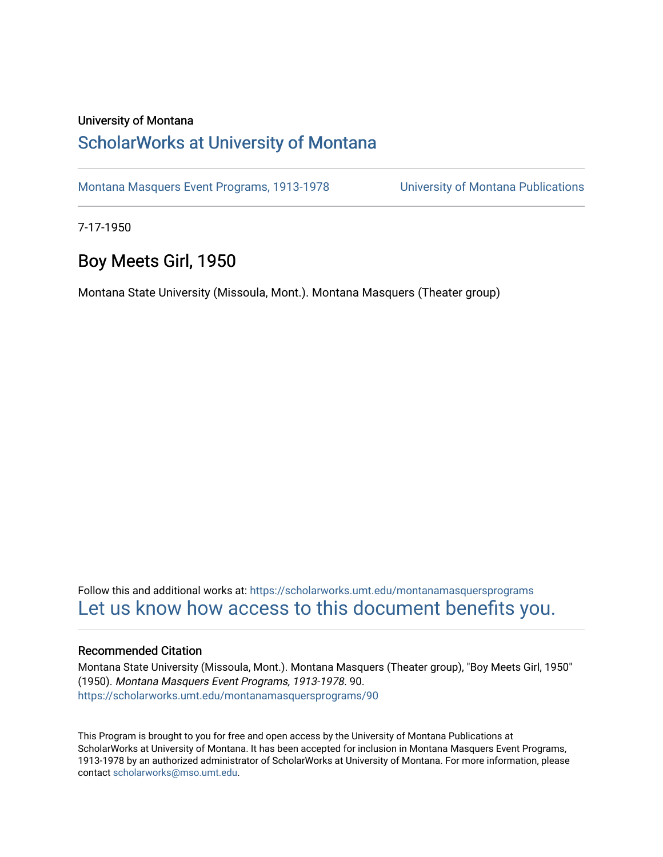#### University of Montana

## [ScholarWorks at University of Montana](https://scholarworks.umt.edu/)

[Montana Masquers Event Programs, 1913-1978](https://scholarworks.umt.edu/montanamasquersprograms) [University of Montana Publications](https://scholarworks.umt.edu/umpubs) 

7-17-1950

## Boy Meets Girl, 1950

Montana State University (Missoula, Mont.). Montana Masquers (Theater group)

Follow this and additional works at: [https://scholarworks.umt.edu/montanamasquersprograms](https://scholarworks.umt.edu/montanamasquersprograms?utm_source=scholarworks.umt.edu%2Fmontanamasquersprograms%2F90&utm_medium=PDF&utm_campaign=PDFCoverPages) [Let us know how access to this document benefits you.](https://goo.gl/forms/s2rGfXOLzz71qgsB2) 

#### Recommended Citation

Montana State University (Missoula, Mont.). Montana Masquers (Theater group), "Boy Meets Girl, 1950" (1950). Montana Masquers Event Programs, 1913-1978. 90. [https://scholarworks.umt.edu/montanamasquersprograms/90](https://scholarworks.umt.edu/montanamasquersprograms/90?utm_source=scholarworks.umt.edu%2Fmontanamasquersprograms%2F90&utm_medium=PDF&utm_campaign=PDFCoverPages) 

This Program is brought to you for free and open access by the University of Montana Publications at ScholarWorks at University of Montana. It has been accepted for inclusion in Montana Masquers Event Programs, 1913-1978 by an authorized administrator of ScholarWorks at University of Montana. For more information, please contact [scholarworks@mso.umt.edu](mailto:scholarworks@mso.umt.edu).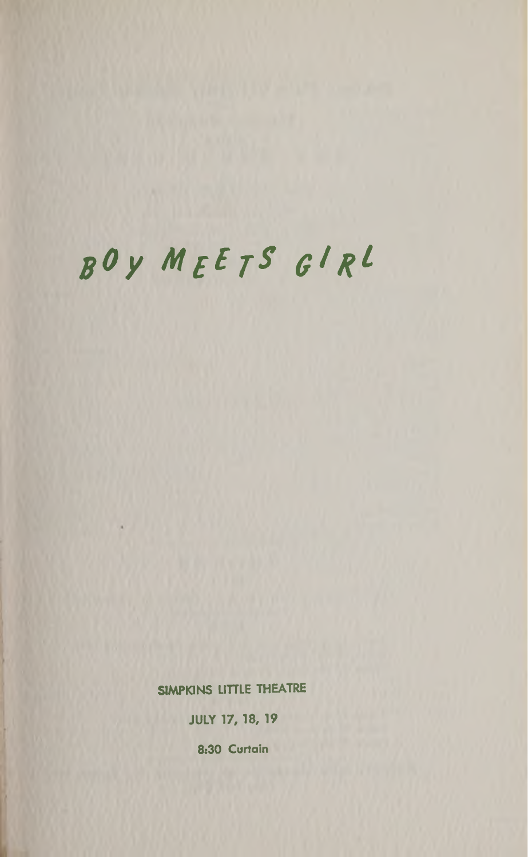# *gOy MgE gS Qlgl*

**SIMPKINS LITTLE THEATRE JULY 17,18, 19 8:30 Curtain**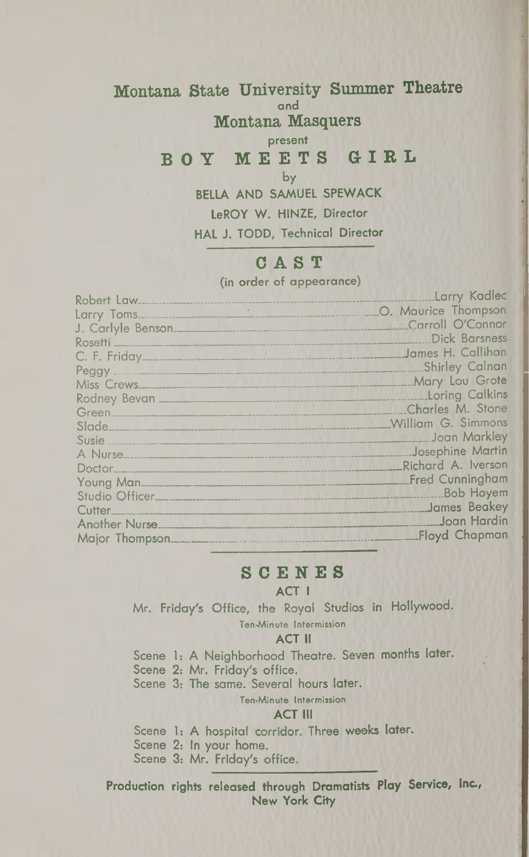#### Montana State University Summer Theatre **and** Montana Masquers

#### **present** BOY MEETS GIRL

**by**

**BELLA AND SAMUEL SPEWACK LeROY W. H1NZE, Director HAL J. TODD, Technical Director**

## **CAST**

(in order of appearance)

| Robert Law.           | Larry Kadlec              |
|-----------------------|---------------------------|
|                       | O. Maurice Thompson       |
|                       | Carroll O'Connor          |
|                       | <b>Dick Barsness</b>      |
| C. F. Friday          | James H. Callihan         |
|                       | <b>Shirley Calnan</b>     |
|                       | Mary Lou Grote            |
|                       | <b>Loring Calkins</b>     |
|                       | Charles M. Stone          |
|                       | <b>William G. Simmons</b> |
|                       | Joan Markley              |
| A Nurse               | Josephine Martin          |
|                       | Richard A. Iverson        |
| Young Man_            | <b>Fred Cunningham</b>    |
|                       | <b>Bob Hoyem</b>          |
| Cutter                | James Beakey              |
| <b>Another Nurse.</b> | Joan Hardin               |
| Major Thompson        | <b>Floyd Chapman</b>      |

#### **SCENES**

#### **ACT I**

Mr. Friday's Office, the Royal Studios in Hollywood. Ten-Minute Intermission

#### **ACT <sup>11</sup>**

Scene 1: A Neighborhood Theatre. Seven months later.

Scene 2: Mr. Friday's office.

Scene 3: The same. Several hours later.

#### Ten-Minute Intermission

#### **ACT III**

Scene 1: A hospital corridor. Three weeks later. Scene 2: In your home. Scene 3: Mr. Friday's office.

**Production rights released through Dramatists Play Service, Inc., New York City**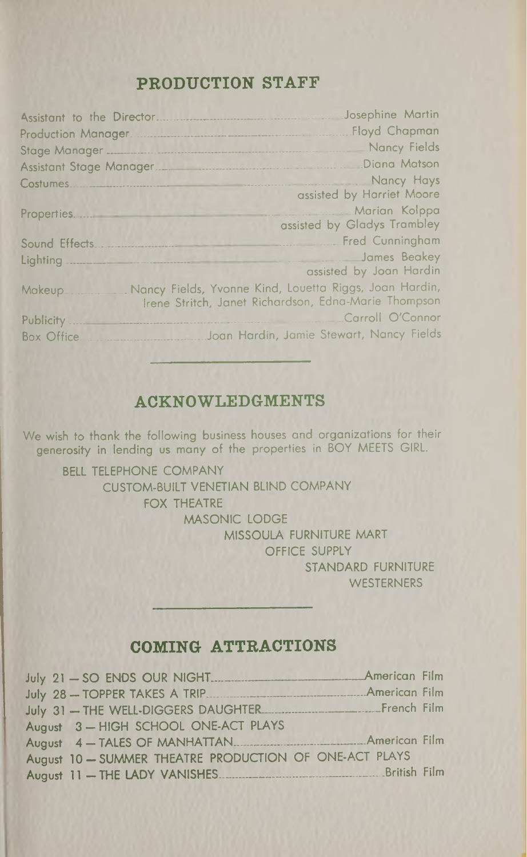## PRODUCTION STAFF

|                   | Josephine Martin                                                                                               |
|-------------------|----------------------------------------------------------------------------------------------------------------|
|                   | Floyd Chapman                                                                                                  |
|                   | Nancy Fields                                                                                                   |
|                   |                                                                                                                |
|                   | Nancy Hays                                                                                                     |
|                   | assisted by Harriet Moore                                                                                      |
|                   | Marian Kolppa<br>assisted by Gladys Trambley                                                                   |
| Sound Effects     | Fred Cunningham                                                                                                |
|                   | James Beakey<br>assisted by Joan Hardin                                                                        |
| <b>Makeup</b>     | Nancy Fields, Yvonne Kind, Louetta Riggs, Joan Hardin,<br>Irene Stritch, Janet Richardson, Edna-Marie Thompson |
| Publicity.        | Carroll O'Connor                                                                                               |
| <b>Box Office</b> | Joan Hardin, Jamie Stewart, Nancy Fields                                                                       |
|                   |                                                                                                                |

## ACKNOWLEDGMENTS

We wish to thank the following business houses and organizations for their generosity in lending us many of the properties in BOY MEETS GIRL.

BELL TELEPHONE COMPANY CUSTOM-BUILT VENETIAN BUND COMPANY FOX THEATRE MASONIC LODGE MISSOULA FURNITURE MART OFFICE SUPPLY STANDARD FURNITURE **WESTERNERS** 

### COMING ATTRACTIONS

| July 31 - THE WELL-DIGGERS DAUGHTER FILM French Film   |  |
|--------------------------------------------------------|--|
| August 3-HIGH SCHOOL ONE-ACT PLAYS                     |  |
|                                                        |  |
| August 10 - SUMMER THEATRE PRODUCTION OF ONE-ACT PLAYS |  |
| August 11 - THE LADY VANISHES                          |  |